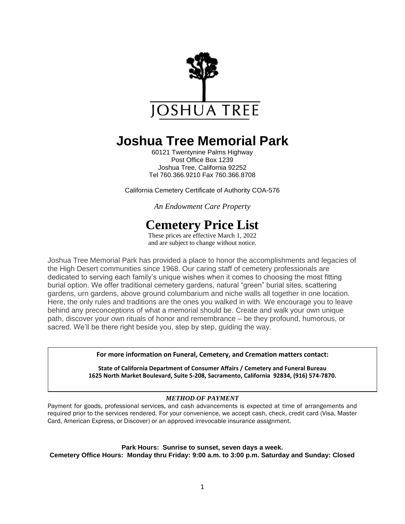

# **Joshua Tree Memorial Park**

60121 Twentynine Palms Highway Post Office Box 1239 Joshua Tree, California 92252 Tel 760.366.9210 Fax 760.366.8708

California Cemetery Certificate of Authority COA-576

*An Endowment Care Property*

# **Cemetery Price List**

These prices are effective March 1, 2022 and are subject to change without notice.

Joshua Tree Memorial Park has provided a place to honor the accomplishments and legacies of the High Desert communities since 1968. Our caring staff of cemetery professionals are dedicated to serving each family's unique wishes when it comes to choosing the most fitting burial option. We offer traditional cemetery gardens, natural "green" burial sites, scattering gardens, urn gardens, above ground columbarium and niche walls all together in one location. Here, the only rules and traditions are the ones you walked in with. We encourage you to leave behind any preconceptions of what a memorial should be. Create and walk your own unique path, discover your own rituals of honor and remembrance – be they profound, humorous, or sacred. We'll be there right beside you, step by step, guiding the way.

**For more information on Funeral, Cemetery, and Cremation matters contact:**

**State of California Department of Consumer Affairs / Cemetery and Funeral Bureau 1625 North Market Boulevard, Suite S-208, Sacramento, California 92834, (916) 574-7870.**

#### *METHOD OF PAYMENT*

Payment for goods, professional services, and cash advancements is expected at time of arrangements and required prior to the services rendered. For your convenience, we accept cash, check, credit card (Visa, Master Card, American Express, or Discover) or an approved irrevocable insurance assignment.

**Park Hours: Sunrise to sunset, seven days a week.**

**Cemetery Office Hours: Monday thru Friday: 9:00 a.m. to 3:00 p.m. Saturday and Sunday: Closed**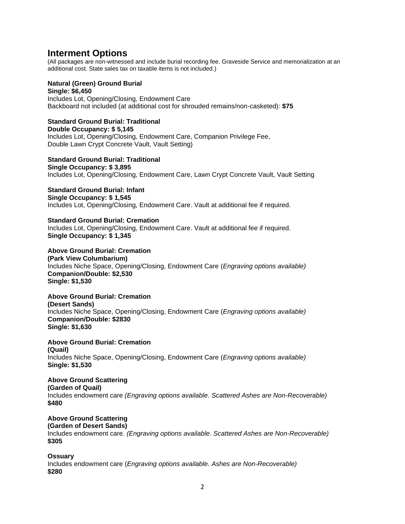### **Interment Options**

(All packages are non-witnessed and include burial recording fee. Graveside Service and memorialization at an additional cost. State sales tax on taxable items is not included.)

#### **Natural (Green) Ground Burial Single: \$6,450**

Includes Lot, Opening/Closing, Endowment Care Backboard not included (at additional cost for shrouded remains/non-casketed): **\$75**

#### **Standard Ground Burial: Traditional Double Occupancy: \$ 5,145** Includes Lot, Opening/Closing, Endowment Care, Companion Privilege Fee, Double Lawn Crypt Concrete Vault, Vault Setting)

**Standard Ground Burial: Traditional Single Occupancy: \$ 3,895** Includes Lot, Opening/Closing, Endowment Care, Lawn Crypt Concrete Vault, Vault Setting

**Standard Ground Burial: Infant Single Occupancy: \$ 1,545**

Includes Lot, Opening/Closing, Endowment Care. Vault at additional fee if required.

**Standard Ground Burial: Cremation** Includes Lot, Opening/Closing, Endowment Care. Vault at additional fee if required. **Single Occupancy: \$ 1,345**

**Above Ground Burial: Cremation (Park View Columbarium)** Includes Niche Space, Opening/Closing, Endowment Care (*Engraving options available)* **Companion/Double: \$2,530 Single: \$1,530**

**Above Ground Burial: Cremation (Desert Sands)** Includes Niche Space, Opening/Closing, Endowment Care (*Engraving options available)* **Companion/Double: \$2830 Single: \$1,630**

**Above Ground Burial: Cremation (Quail)** Includes Niche Space, Opening/Closing, Endowment Care (*Engraving options available)* **Single: \$1,530**

**Above Ground Scattering (Garden of Quail)** Includes endowment care *(Engraving options available. Scattered Ashes are Non-Recoverable)* **\$480**

**Above Ground Scattering (Garden of Desert Sands)** Includes endowment care. *(Engraving options available. Scattered Ashes are Non-Recoverable)* **\$305**

#### **Ossuary** Includes endowment care (*Engraving options available. Ashes are Non-Recoverable)* **\$280**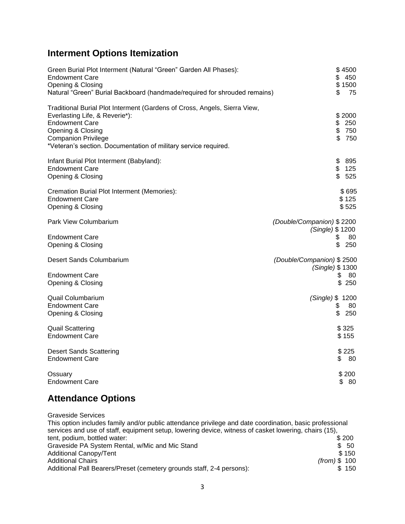## **Interment Options Itemization**

| Green Burial Plot Interment (Natural "Green" Garden All Phases):<br><b>Endowment Care</b><br>Opening & Closing<br>Natural "Green" Burial Backboard (handmade/required for shrouded remains)                                                                | \$4500<br>\$450<br>\$1500<br>\$<br>75                                 |
|------------------------------------------------------------------------------------------------------------------------------------------------------------------------------------------------------------------------------------------------------------|-----------------------------------------------------------------------|
| Traditional Burial Plot Interment (Gardens of Cross, Angels, Sierra View,<br>Everlasting Life, & Reverie*):<br><b>Endowment Care</b><br>Opening & Closing<br><b>Companion Privilege</b><br>*Veteran's section. Documentation of military service required. | \$2000<br>\$250<br>\$750<br>\$<br>750                                 |
| Infant Burial Plot Interment (Babyland):<br><b>Endowment Care</b><br>Opening & Closing                                                                                                                                                                     | \$<br>895<br>\$<br>125<br>\$<br>525                                   |
| Cremation Burial Plot Interment (Memories):<br><b>Endowment Care</b><br>Opening & Closing                                                                                                                                                                  | \$695<br>\$125<br>\$525                                               |
| Park View Columbarium<br><b>Endowment Care</b><br>Opening & Closing                                                                                                                                                                                        | (Double/Companion) \$2200<br>(Single) \$1200<br>\$<br>80<br>\$<br>250 |
| Desert Sands Columbarium<br><b>Endowment Care</b><br>Opening & Closing                                                                                                                                                                                     | (Double/Companion) \$2500<br>(Single) \$1300<br>\$<br>80<br>\$250     |
| <b>Quail Columbarium</b><br><b>Endowment Care</b><br>Opening & Closing                                                                                                                                                                                     | (Single) \$ 1200<br>\$<br>80<br>\$<br>250                             |
| <b>Quail Scattering</b><br><b>Endowment Care</b>                                                                                                                                                                                                           | \$325<br>\$155                                                        |
| <b>Desert Sands Scattering</b><br><b>Endowment Care</b>                                                                                                                                                                                                    | \$225<br>\$<br>80                                                     |
| Ossuary<br><b>Endowment Care</b>                                                                                                                                                                                                                           | \$200<br>\$80                                                         |

## **Attendance Options**

Graveside Services This option includes family and/or public attendance privilege and date coordination, basic professional services and use of staff, equipment setup, lowering device, witness of casket lowering, chairs (15), tent, podium, bottled water: Graveside PA System Rental, w/Mic and Mic Stand<br>Additional Canopy/Tent \$ 150 Additional Canopy/Tent \$ 150<br>Additional Chairs (from) \$ 100 **Additional Chairs** Additional Pall Bearers/Preset (cemetery grounds staff, 2-4 persons): \$ 150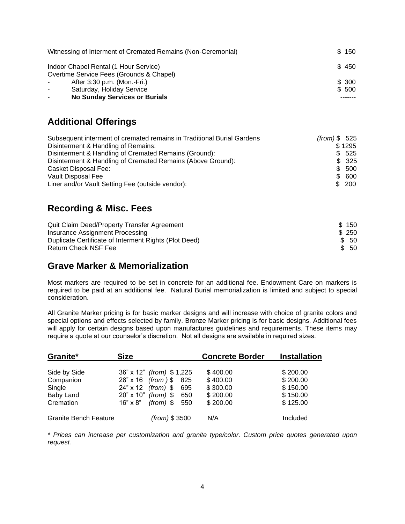| Witnessing of Interment of Cremated Remains (Non-Ceremonial) | \$150  |
|--------------------------------------------------------------|--------|
| Indoor Chapel Rental (1 Hour Service)                        | \$450  |
| Overtime Service Fees (Grounds & Chapel)                     |        |
| After 3:30 p.m. (Mon.-Fri.)<br>$\sim$                        | \$ 300 |
| Saturday, Holiday Service<br>$\sim$                          | \$ 500 |
| <b>No Sunday Services or Burials</b>                         |        |

### **Additional Offerings**

| Subsequent interment of cremated remains in Traditional Burial Gardens | $(from)$ \$ 525 |        |
|------------------------------------------------------------------------|-----------------|--------|
| Disinterment & Handling of Remains:                                    |                 | \$1295 |
| Disinterment & Handling of Cremated Remains (Ground):                  |                 | \$ 525 |
| Disinterment & Handling of Cremated Remains (Above Ground):            |                 | \$325  |
| Casket Disposal Fee:                                                   |                 | \$ 500 |
| Vault Disposal Fee                                                     |                 | \$ 600 |
| Liner and/or Vault Setting Fee (outside vendor):                       |                 | \$200  |

### **Recording & Misc. Fees**

| Quit Claim Deed/Property Transfer Agreement           | \$150 |
|-------------------------------------------------------|-------|
| Insurance Assignment Processing                       | \$250 |
| Duplicate Certificate of Interment Rights (Plot Deed) | \$ 50 |
| <b>Return Check NSF Fee</b>                           | \$ 50 |

### **Grave Marker & Memorialization**

Most markers are required to be set in concrete for an additional fee. Endowment Care on markers is required to be paid at an additional fee. Natural Burial memorialization is limited and subject to special consideration.

All Granite Marker pricing is for basic marker designs and will increase with choice of granite colors and special options and effects selected by family. Bronze Marker pricing is for basic designs. Additional fees will apply for certain designs based upon manufactures guidelines and requirements. These items may require a quote at our counselor's discretion. Not all designs are available in required sizes.

| Granite*                     | <b>Size</b>                      |               | <b>Concrete Border</b> | <b>Installation</b> |
|------------------------------|----------------------------------|---------------|------------------------|---------------------|
| Side by Side                 | 36" x 12" <i>(from)</i> \$ 1,225 |               | \$400.00               | \$200.00            |
| Companion                    | 28" x 16 (from ) \$ 825          |               | \$400.00               | \$200.00            |
| Single                       | $24" \times 12$ (from) \$        | 695           | \$300.00               | \$150.00            |
| Baby Land                    | $20" \times 10"$ (from) \$       | 650           | \$200.00               | \$150.00            |
| Cremation                    | $16" \times 8"$ (from) \$        | 550           | \$200.00               | \$125.00            |
| <b>Granite Bench Feature</b> |                                  | (from) \$3500 | N/A                    | Included            |

*\* Prices can increase per customization and granite type/color. Custom price quotes generated upon request.*